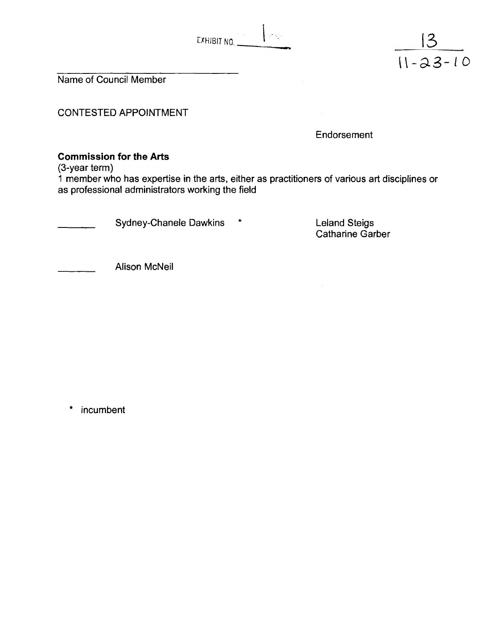| EXHIBIT NO. |  |  |  |
|-------------|--|--|--|

Name of Council Member

CONTESTED APPOINTMENT

**Endorsement** 

 $\frac{13}{11-23-10}$ 

### **Commission for the Arts**

(3-year term)

**1** member who has expertise in the arts, either as practitioners of various art disciplines or as professional administrators working the field

Sydney-Chanele Dawkins \*

Leland Steigs Catharine Garber

Alison McNeil

 $\star$ incumbent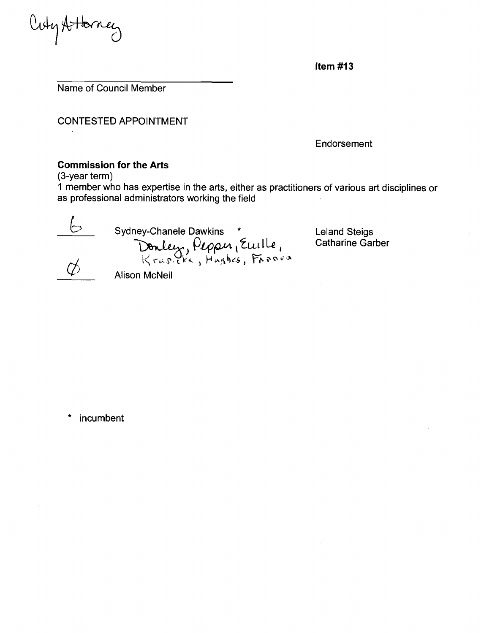Cuty Attorney

Item  $#13$ 

Name of Council Member

CONTESTED APPOINTMENT

**Endorsement** 

#### **Commission for the Arts**

(3-year term)

**1** member who has expertise in the arts, either as practitioners of various art disciplines or as professional administrators working the field



Sydney-Chanele Dawkins \* Leland Steigs<br>
Donley, Pepper, Eurile, Catharine Gar<br>
Krusikk, Hughes, Farova Alison McNeil

Catharine Garber

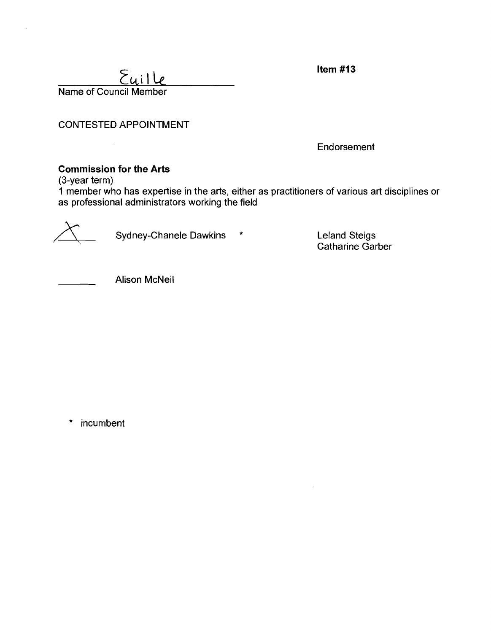Item  $#13$ 

 $\Sigma$ uille Name of Council Member

CONTESTED APPOINTMENT

Endorsement

### **Commission for the Arts**

(3-year term)

1 member who has expertise in the arts, either as practitioners of various art disciplines or as professional administrators working the field



, Sydney-Chanele Dawkins \*

Leland Steigs Catharine Garber

Alison McNeil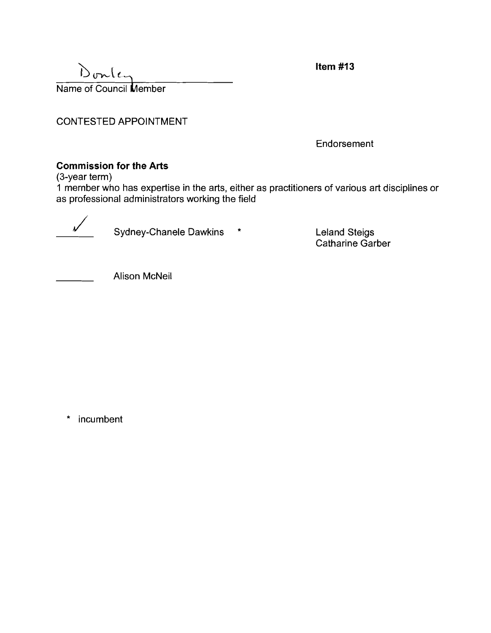$D_{unit}$ Name of Council Member Item  $#13$ 

CONTESTED APPOINTMENT

Endorsement

### **Commission for the Arts**

(3-year term)

**1** mernber who Iias expertise in the arts, either as practitioners of various art disciplines or as professional administrators working the field

Sydney-Chanele Dawkins \*

Leland Steigs Catharine Garber

Alison McNeil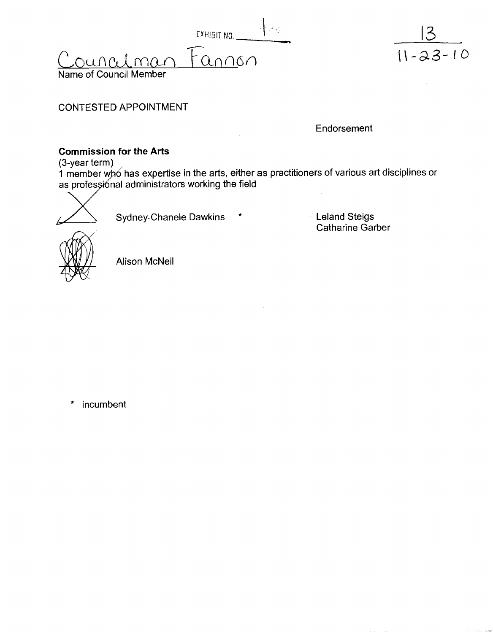t%HlBlT **NO.**   $\frac{EXHIBIT}{F_{\Omega}}$  $\alpha$ Name of Council Member



CONTESTED APPOINTMENT

**Endorsement** 

# **Commission for the Arts**

(3-year term)

1 member who has expertise in the arts, either as practitioners of various art disciplines or as professional administrators working the field<br>
Sydney-Chanele Dawkins \*



Leland Steigs Catharine Garber



Alison McNeil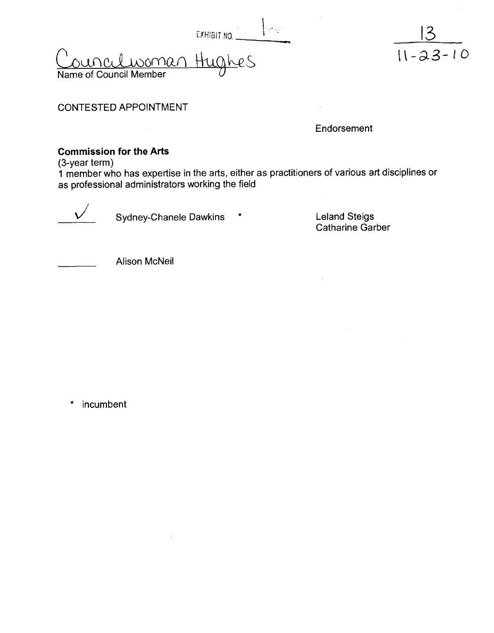|                                                      | EXHIBIT NO. | <b>There you</b> |
|------------------------------------------------------|-------------|------------------|
| <u>Councilwoman Hughes</u><br>Name of Council Member |             |                  |



CONTESTED APPOINTMENT

Endorsement

## **Commission for the Arts**

(3-year term)

1 member who has expertise in the arts, either as practitioners of various art disciplines or as professional administrators working the field



 $V$  Sydney-Chanele Dawkins  $*$ 

Leland Steigs<br>Catharine Garber



Alison McNeil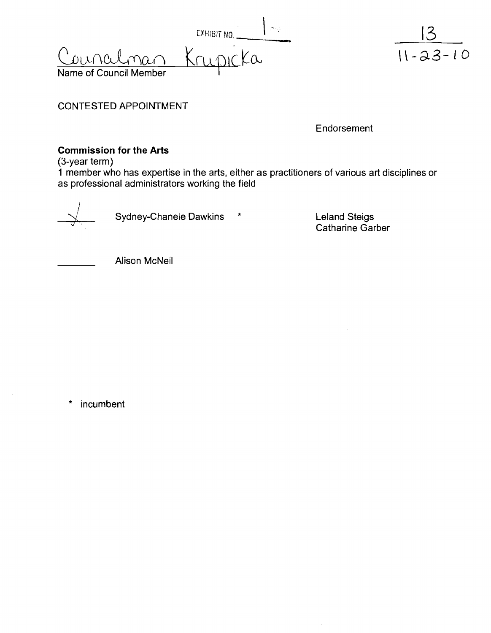EXHIBIT NO.



CONTESTED APPOINTMENT

Endorsement

### **Commission for the Arts**

(3-year term)

**1** member who has expertise in the arts, either as practitioners of various art disciplines or as professional administrators working the field



Sydney-Chanele Dawkins \* The Leland Steigs

Catharine Garber